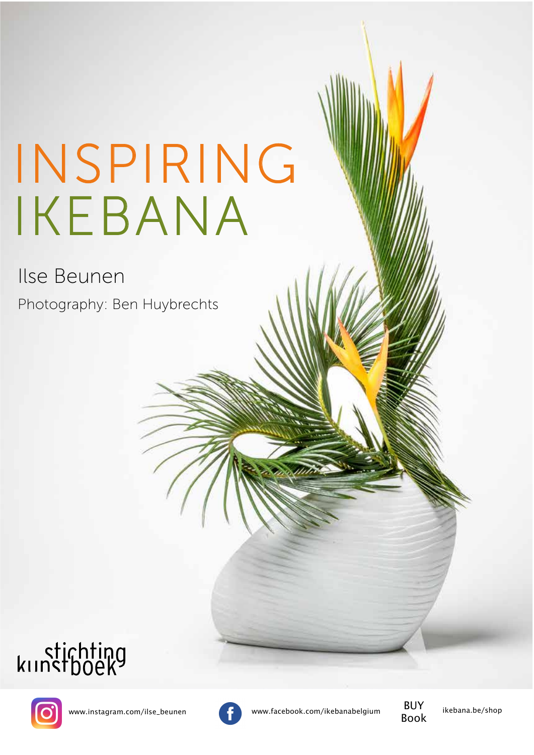## INSPIRING IKEBANA

## Ilse Beunen

Photography: Ben Huybrechts







www.instagram.com/ilse\_beunen www.facebook.com/ikebanabelgium BUY



ikebana.be/shop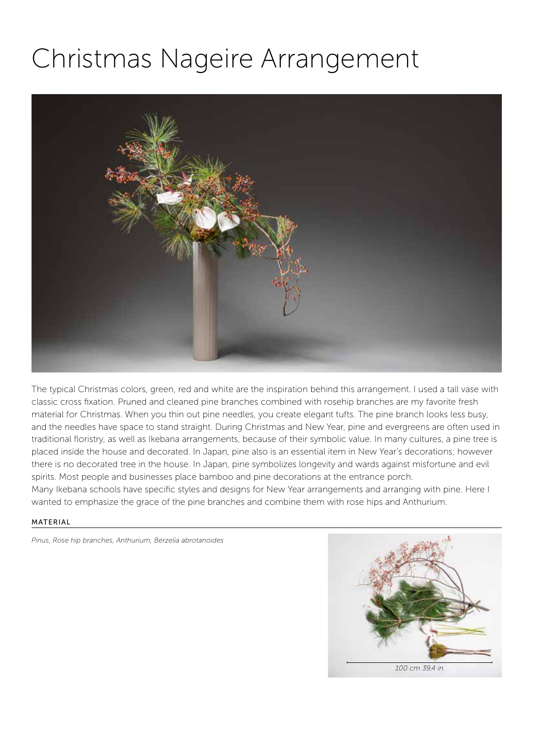## Christmas Nageire Arrangement



The typical Christmas colors, green, red and white are the inspiration behind this arrangement. I used a tall vase with classic cross fixation. Pruned and cleaned pine branches combined with rosehip branches are my favorite fresh material for Christmas. When you thin out pine needles, you create elegant tufts. The pine branch looks less busy, and the needles have space to stand straight. During Christmas and New Year, pine and evergreens are often used in traditional floristry, as well as Ikebana arrangements, because of their symbolic value. In many cultures, a pine tree is placed inside the house and decorated. In Japan, pine also is an essential item in New Year's decorations; however there is no decorated tree in the house. In Japan, pine symbolizes longevity and wards against misfortune and evil spirits. Most people and businesses place bamboo and pine decorations at the entrance porch. Many Ikebana schools have specific styles and designs for New Year arrangements and arranging with pine. Here I wanted to emphasize the grace of the pine branches and combine them with rose hips and Anthurium.

## MATERIAL

*Pinus, Rose hip branches, Anthurium, Berzelia abrotanoides*